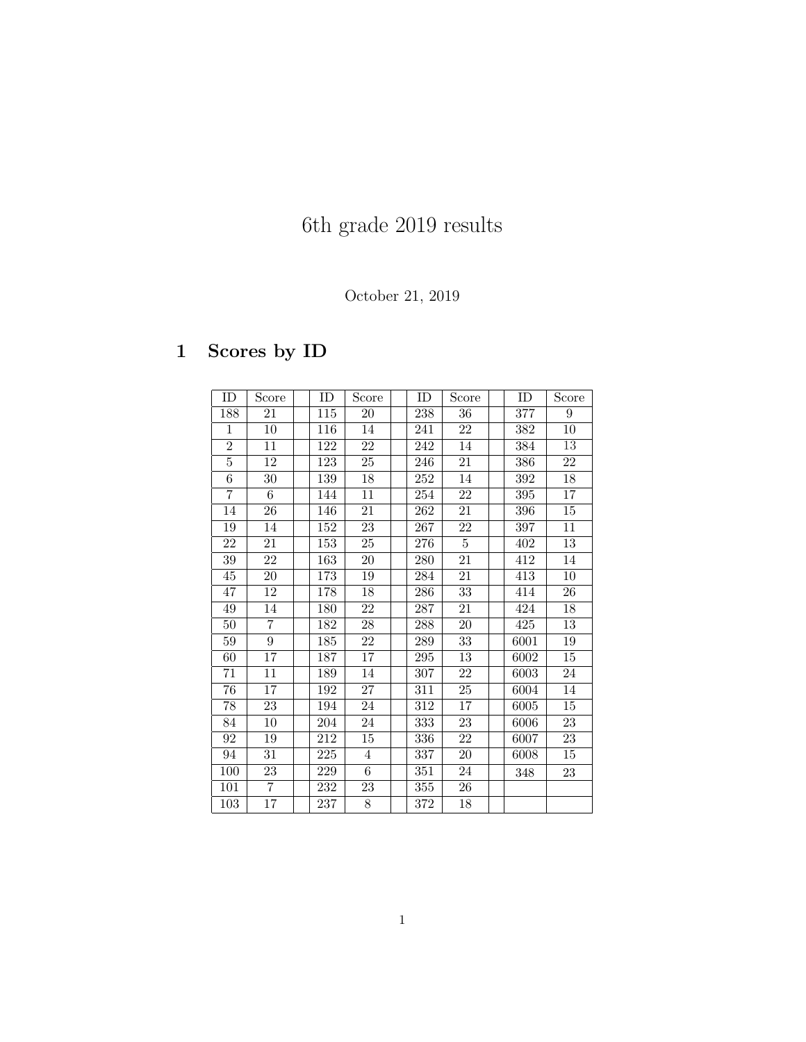# 6th grade 2019 results

#### October 21, 2019

## 1 Scores by ID

| ID             | Score          | ID  | Score          | ID      | Score           | ID   | Score           |
|----------------|----------------|-----|----------------|---------|-----------------|------|-----------------|
| 188            | 21             | 115 | 20             | 238     | 36              | 377  | 9               |
| $\mathbf{1}$   | 10             | 116 | 14             | 241     | 22              | 382  | 10              |
| $\overline{2}$ | 11             | 122 | 22             | $242\,$ | 14              | 384  | $\overline{13}$ |
| $\overline{5}$ | 12             | 123 | 25             | 246     | 21              | 386  | 22              |
| 6              | 30             | 139 | 18             | 252     | 14              | 392  | 18              |
| 7              | 6              | 144 | 11             | $254\,$ | 22              | 395  | 17              |
| 14             | 26             | 146 | 21             | 262     | 21              | 396  | 15              |
| 19             | 14             | 152 | 23             | 267     | 22              | 397  | 11              |
| 22             | 21             | 153 | 25             | 276     | $\overline{5}$  | 402  | 13              |
| 39             | 22             | 163 | 20             | 280     | 21              | 412  | 14              |
| $45\,$         | $20\,$         | 173 | 19             | 284     | 21              | 413  | 10              |
| 47             | 12             | 178 | 18             | 286     | 33              | 414  | 26              |
| 49             | 14             | 180 | 22             | 287     | 21              | 424  | 18              |
| 50             | $\overline{7}$ | 182 | 28             | 288     | $\overline{20}$ | 425  | 13              |
| 59             | 9              | 185 | 22             | 289     | 33              | 6001 | 19              |
| 60             | 17             | 187 | 17             | 295     | $13\,$          | 6002 | 15              |
| 71             | 11             | 189 | 14             | 307     | 22              | 6003 | 24              |
| 76             | 17             | 192 | 27             | 311     | 25              | 6004 | 14              |
| 78             | 23             | 194 | 24             | 312     | 17              | 6005 | 15              |
| 84             | 10             | 204 | 24             | 333     | 23              | 6006 | 23              |
| 92             | 19             | 212 | 15             | 336     | 22              | 6007 | 23              |
| 94             | 31             | 225 | $\overline{4}$ | 337     | 20              | 6008 | 15              |
| 100            | 23             | 229 | 6              | 351     | 24              | 348  | 23              |
| 101            | $\overline{7}$ | 232 | 23             | 355     | 26              |      |                 |
| 103            | 17             | 237 | 8              | 372     | 18              |      |                 |